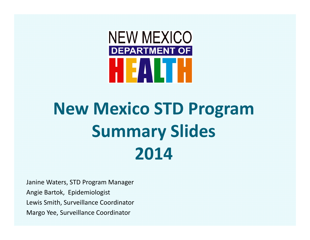

## **New Mexico STD Program Summary Slides 2014**

Janine Waters, STD Program Manager Angie Bartok, Epidemiologist Lewis Smith, Surveillance Coordinator Margo Yee, Surveillance Coordinator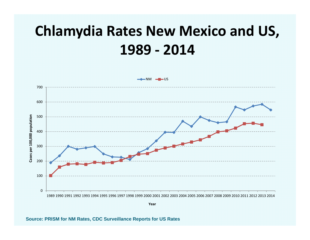## **Chlamydia Rates New Mexico and US, ‐ 2014**



**Source: PRISM for NM Rates, CDC Surveillance Reports for US Rates**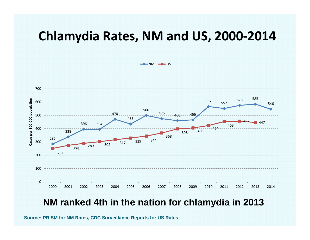#### **Chlamydia Rates, NM and US, 2000‐2014**

NM <del>d</del>ous



#### **NM ranked 4th in the nation for chlamydia in 2013**

**Source: PRISM for NM Rates, CDC Surveillance Reports for US Rates**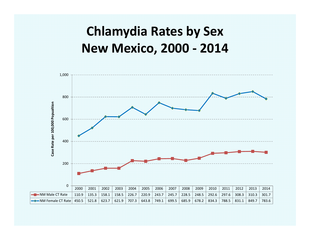## **Chlamydia Rates by Sex New Mexico, 2000 ‐ 2014**

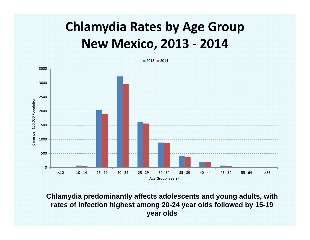## **Chlamydia Rates by Age Group New Mexico, 2013 ‐ 2014**



**Chlamydia predominantly affects adolescents and young adults, with rates of infection highest among 20-24 year olds followed by 15-19 year olds**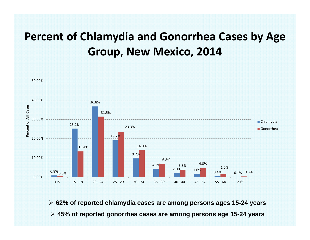#### **Percent of Chlamydia and Gonorrhea Cases by Age Group**, **New Mexico, 2014**



 **62% of reported chlamydia cases are among persons ages 15-24 years 45% of reported gonorrhea cases are among persons age 15-24 years**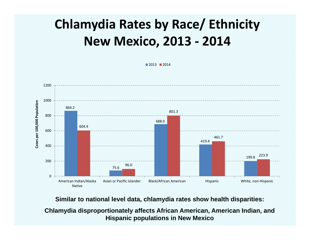## **Chlamydia Rates by Race/ Ethnicity New Mexico, 2013 ‐ 2014**

2013 2014



**Similar to national level data, chlamydia rates show health disparities:**

**Chlamydia disproportionately affects African American, American Indian, and Hispanic populations in New Mexico**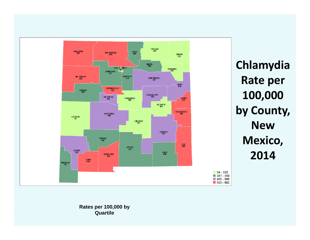

**Chlamydia Rate per 100,000 by County, NewMexico, 2014**

**Rates per 100,000 by Quartile**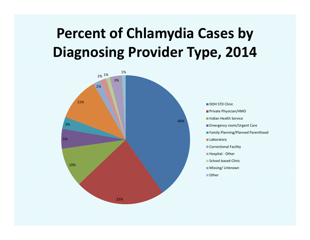## **Percent of Chlamydia Cases by Diagnosing Provider Type, 2014**



DOH STD Clinic

- Private Physician/HMO
- Indian Health Service
- **Emergency room/Urgent Care**
- **Family Planning/Planned Parenthood**
- **Laboratory**
- Correctional Facility
- Hospital Other
- School‐based Clinic
- **Missing/ Unknown**
- Other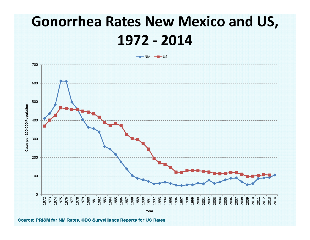## **Gonorrhea Rates New Mexico and US, ‐ 2014**



Source: PRISM for NM Rates, CDC Surveillance Reports for US Rates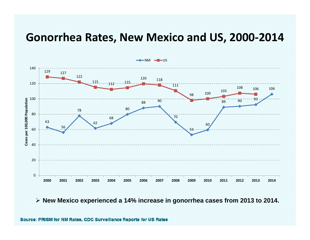#### **Gonorrhea Rates, New Mexico and US, 2000‐2014**



**New Mexico experienced a 14% increase in gonorrhea cases from 2013 to 2014.**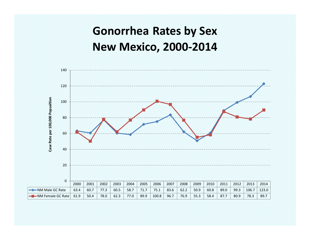#### **Gonorrhea Rates by Sex New Mexico, 2000‐2014**

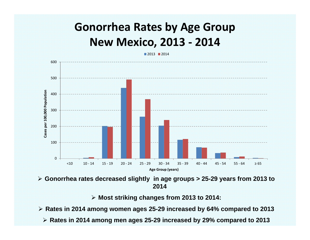#### **Gonorrhea Rates by Age Group New Mexico, 2013 ‐ 2014**

2013 2014

600500Cases per 100,000 Population **Cases per 100,000 Population** 4003002001000<10 10 ‐ 14 15 ‐ 19 20 ‐ 24 25 ‐ 29 30 ‐ 34 35 ‐ 39 40 ‐ 44 45 ‐ 54 55 ‐ 64 $55 - 64$   $\geq 65$ **Age Group (years)**

 **Gonorrhea rates decreased slightly in age groups > 25-29 years from 2013 to 2014**

**Most striking changes from 2013 to 2014:**

**Rates in 2014 among women ages 25-29 increased by 64% compared to 2013**

**Rates in 2014 among men ages 25-29 increased by 29% compared to 2013**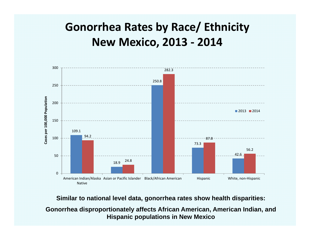#### **Gonorrhea Rates by Race/ Ethnicity New Mexico, 2013 ‐ 2014**



**Similar to national level data, gonorrhea rates show health disparities:**

**Gonorrhea disproportionately affects African American, American Indian, and Hispanic populations in New Mexico**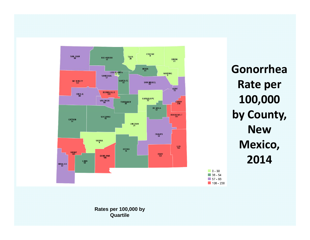

**GonorrheaRate per 100,000 by County, NewMexico, 2014**

 $\Box$  0 - 30  $136 - 54$  $\blacksquare$  57 - 93  $106 - 238$ 

**Rates per 100,000 by Quartile**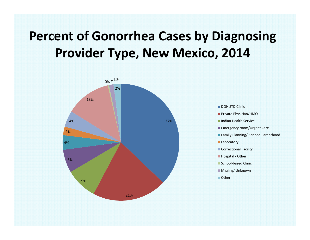## **Percent of Gonorrhea Cases by Diagnosing Provider Type, New Mexico, 2014**



DOH STD Clinic

Private Physician/HMO

Indian Health Service

- **Emergency room/Urgent Care**
- **Family Planning/Planned Parenthood**

**Laboratory** 

Correctional Facility

■ Hospital - Other

School‐based Clinic

**Missing/ Unknown** 

■ Other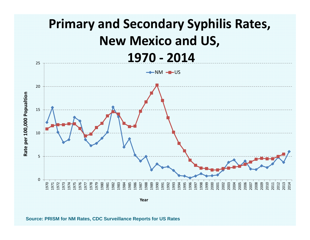

**Source: PRISM for NM Rates, CDC Surveillance Reports for US Rates**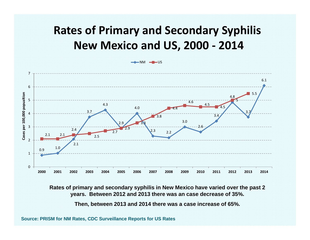#### **Rates of Primary and Secondary Syphilis New Mexico and US, 2000 ‐ 2014**



**Rates of primary and secondary syphilis in New Mexico have varied over the past 2 years. Between 2012 and 2013 there was an case decrease of 35%.**

**Then, between 2013 and 2014 there was a case increase of 65%.**

**Source: PRISM for NM Rates, CDC Surveillance Reports for US Rates**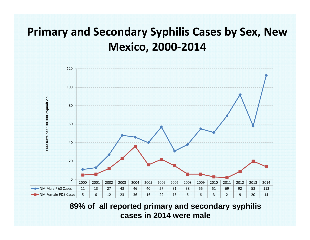#### **Primary and Secondary Syphilis Cases by Sex, New Mexico, 2000‐2014**



**89% of all reported primary and secondary syphilis cases in 2014 were male**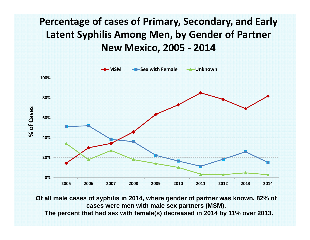#### **Percentage of cases of Primary, Secondary, and Early Latent Syphilis Among Men, by Gender of Partner New Mexico, 2005 ‐ 2014**



**Of all male cases of syphilis in 2014, where gender of partner was known, 82% of cases were men with male sex partners (MSM).**

**The percent that had sex with female(s) decreased in 2014 by 11% over 2013.**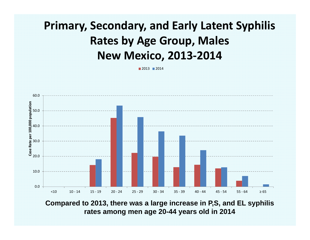#### **Primary, Secondary, and Early Latent Syphilis Rates by Age Group, Males New Mexico, 2013‐2014**

2013 2014



**Compared to 2013, there was a large increase in P,S, and EL syphilis rates among men age 20-44 years old in 2014**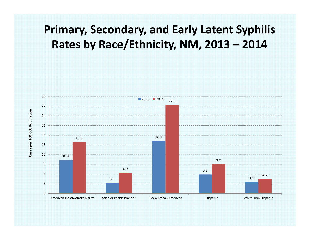#### **Primary, Secondary, and Early Latent Syphilis Rates by Race/Ethnicity, NM, 2013 – 2014**

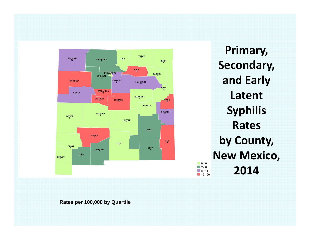

**Primary, Secondary, and Early LatentSyphilis Ratesby County, New Mexico, 2014**

**Rates per 100,000 by Quartile**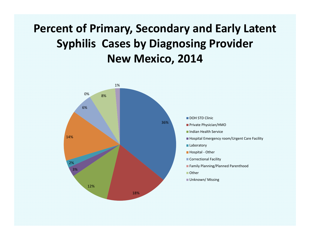#### **Percent of Primary, Secondary and Early Latent Syphilis Cases by Diagnosing Provider New Mexico, 2014**

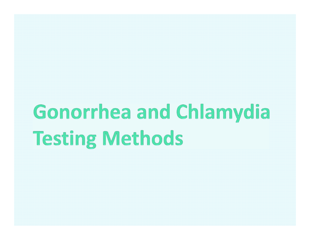# Gonorrhea and Chlamydia **Testing Methods**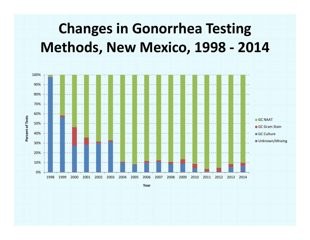## **Changes in Gonorrhea Testing Methods, New Mexico, 1998 ‐ 2014**



**Year**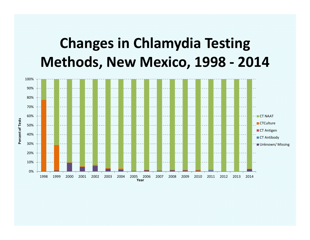## **Changes in Chlamydia Testing Methods, New Mexico, 1998 ‐ 2014**

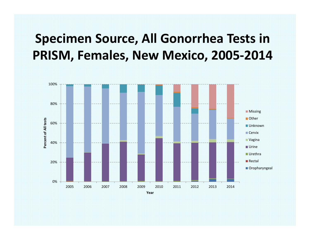## **Specimen Source, All Gonorrhea Tests in PRISM, Females, New Mexico, 2005‐2014**

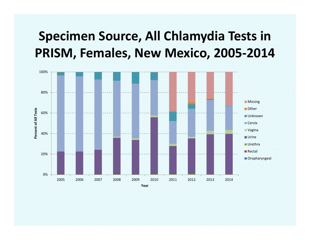## **Specimen Source, All Chlamydia Tests in PRISM, Females, New Mexico, 2005‐2014**

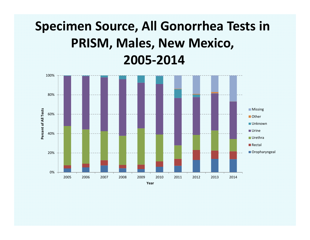## **Specimen Source, All Gonorrhea Tests in PRISM, Males, New Mexico, 2005‐2014**

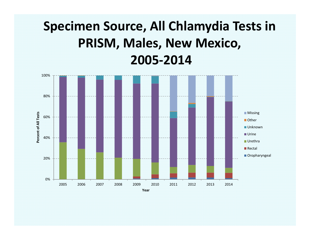## **Specimen Source, All Chlamydia Tests in PRISM, Males, New Mexico, 2005‐2014**

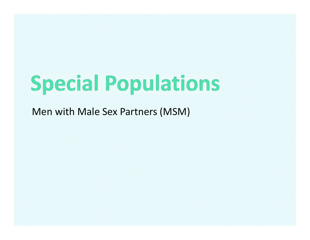## **Special Populations**

Men with Male Sex Partners (MSM)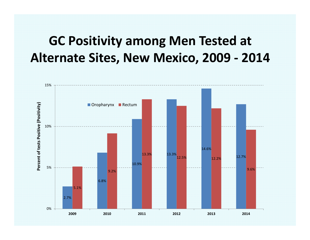### **GC Positivity among Men Tested at Alternate Sites, New Mexico, 2009 ‐ 2014**

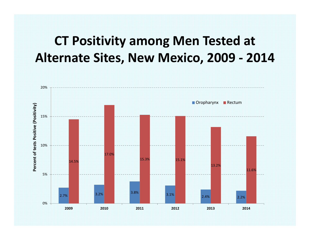### **CT Positivity among Men Tested at Alternate Sites, New Mexico, 2009 ‐ 2014**

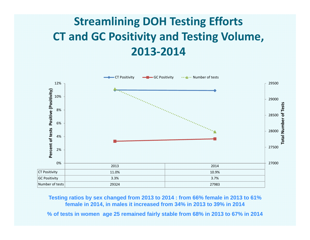### **Streamlining DOH Testing Efforts CT and GC Positivity and Testing Volume, 2013‐2014**



**Testing ratios by sex changed from 2013 to 2014 : from 66% female in 2013 to 61% female in 2014, in males it increased from 34% in 2013 to 39% in 2014**

**% of tests in women age 25 remained fairly stable from 68% in 2013 to 67% in 2014**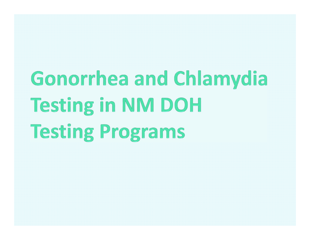# Gonorrhea and Chlamydia **Testing in NM DOH Testing Programs**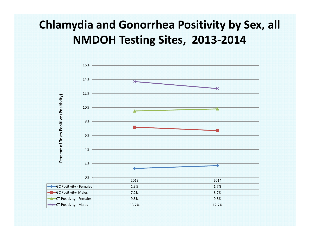#### **Chlamydia and Gonorrhea Positivity by Sex, all NMDOH Testing Sites, 2013‐2014**

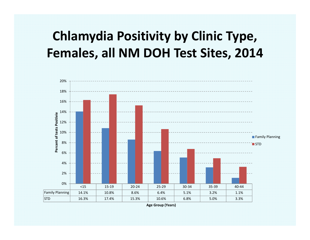## **Chlamydia Positivity by Clinic Type, Females, all NM DOH Test Sites, 2014**



**Age Group (Years)**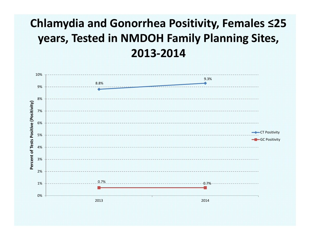#### **Chlamydia and Gonorrhea Positivity, Females ≤25 years, Tested in NMDOH Family Planning Sites, 2013‐2014**

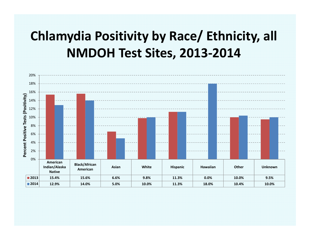## **Chlamydia Positivity by Race/ Ethnicity, all NMDOH Test Sites, 2013‐2014**